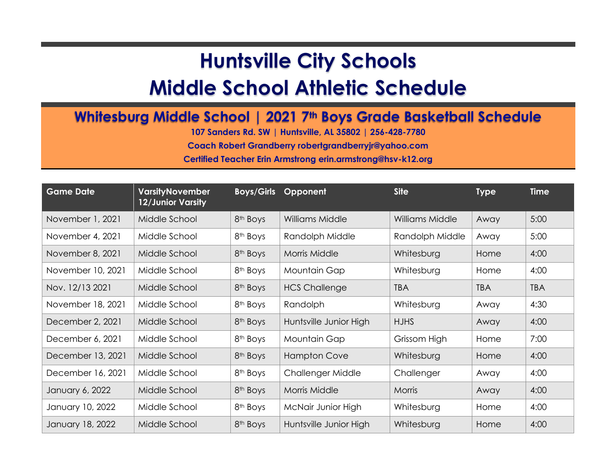## **Huntsville City Schools**

## **Middle School Athletic Schedule**

## **Whitesburg Middle School | 2021 7th Boys Grade Basketball Schedule**

**107 Sanders Rd. SW | Huntsville, AL 35802 | 256-428-7780**

**Coach Robert Grandberry robertgrandberryjr@yahoo.com**

**Certified Teacher Erin Armstrong erin.armstrong@hsv-k12.org**

| <b>Game Date</b>  | <b>VarsityNovember</b><br>12/Junior Varsity | <b>Boys/Girls</b>    | Opponent               | <b>Site</b>     | <b>Type</b> | <b>Time</b> |
|-------------------|---------------------------------------------|----------------------|------------------------|-----------------|-------------|-------------|
| November 1, 2021  | Middle School                               | 8 <sup>th</sup> Boys | <b>Williams Middle</b> | Williams Middle | Away        | 5:00        |
| November 4, 2021  | Middle School                               | 8 <sup>th</sup> Boys | Randolph Middle        | Randolph Middle | Away        | 5:00        |
| November 8, 2021  | Middle School                               | 8 <sup>th</sup> Boys | Morris Middle          | Whitesburg      | Home        | 4:00        |
| November 10, 2021 | Middle School                               | 8 <sup>th</sup> Boys | Mountain Gap           | Whitesburg      | Home        | 4:00        |
| Nov. 12/13 2021   | Middle School                               | 8 <sup>th</sup> Boys | <b>HCS Challenge</b>   | <b>TBA</b>      | <b>TBA</b>  | <b>TBA</b>  |
| November 18, 2021 | Middle School                               | 8 <sup>th</sup> Boys | Randolph               | Whitesburg      | Away        | 4:30        |
| December 2, 2021  | Middle School                               | 8 <sup>th</sup> Boys | Huntsville Junior High | <b>HJHS</b>     | Away        | 4:00        |
| December 6, 2021  | Middle School                               | 8 <sup>th</sup> Boys | Mountain Gap           | Grissom High    | Home        | 7:00        |
| December 13, 2021 | Middle School                               | 8 <sup>th</sup> Boys | <b>Hampton Cove</b>    | Whitesburg      | Home        | 4:00        |
| December 16, 2021 | Middle School                               | 8 <sup>th</sup> Boys | Challenger Middle      | Challenger      | Away        | 4:00        |
| January 6, 2022   | Middle School                               | 8 <sup>th</sup> Boys | <b>Morris Middle</b>   | <b>Morris</b>   | Away        | 4:00        |
| January 10, 2022  | Middle School                               | 8 <sup>th</sup> Boys | McNair Junior High     | Whitesburg      | Home        | 4:00        |
| January 18, 2022  | Middle School                               | 8 <sup>th</sup> Boys | Huntsville Junior High | Whitesburg      | Home        | 4:00        |